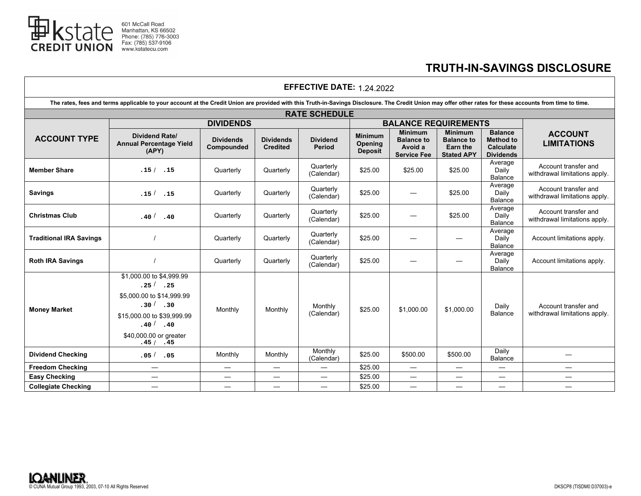

## **TRUTH-IN-SAVINGS DISCLOSURE**

| <b>EFFECTIVE DATE: 1.24.2022</b> |  |
|----------------------------------|--|
|----------------------------------|--|

| The rates, fees and terms applicable to your account at the Credit Union are provided with this Truth-in-Savings Disclosure. The Credit Union may offer other rates for these accounts from time to time. |                                                                                                                                                                                     |                                |                                     |                           |                                                    |                                                                      |                                                                             |                                                                            |                                                       |
|-----------------------------------------------------------------------------------------------------------------------------------------------------------------------------------------------------------|-------------------------------------------------------------------------------------------------------------------------------------------------------------------------------------|--------------------------------|-------------------------------------|---------------------------|----------------------------------------------------|----------------------------------------------------------------------|-----------------------------------------------------------------------------|----------------------------------------------------------------------------|-------------------------------------------------------|
| <b>RATE SCHEDULE</b>                                                                                                                                                                                      |                                                                                                                                                                                     |                                |                                     |                           |                                                    |                                                                      |                                                                             |                                                                            |                                                       |
|                                                                                                                                                                                                           | <b>DIVIDENDS</b>                                                                                                                                                                    |                                |                                     |                           |                                                    | <b>BALANCE REQUIREMENTS</b>                                          |                                                                             |                                                                            |                                                       |
| <b>ACCOUNT TYPE</b>                                                                                                                                                                                       | <b>Dividend Rate/</b><br><b>Annual Percentage Yield</b><br>(APY)                                                                                                                    | <b>Dividends</b><br>Compounded | <b>Dividends</b><br><b>Credited</b> | <b>Dividend</b><br>Period | <b>Minimum</b><br><b>Opening</b><br><b>Deposit</b> | <b>Minimum</b><br><b>Balance to</b><br>Avoid a<br><b>Service Fee</b> | <b>Minimum</b><br><b>Balance to</b><br><b>Earn the</b><br><b>Stated APY</b> | <b>Balance</b><br><b>Method to</b><br><b>Calculate</b><br><b>Dividends</b> | <b>ACCOUNT</b><br><b>LIMITATIONS</b>                  |
| <b>Member Share</b>                                                                                                                                                                                       | .15/ .15                                                                                                                                                                            | Quarterly                      | Quarterly                           | Quarterly<br>(Calendar)   | \$25.00                                            | \$25.00                                                              | \$25.00                                                                     | Average<br>Daily<br>Balance                                                | Account transfer and<br>withdrawal limitations apply. |
| <b>Savings</b>                                                                                                                                                                                            | .15 <sup>7</sup><br>.15                                                                                                                                                             | Quarterly                      | Quarterly                           | Quarterly<br>(Calendar)   | \$25.00                                            |                                                                      | \$25.00                                                                     | Average<br>Daily<br>Balance                                                | Account transfer and<br>withdrawal limitations apply. |
| <b>Christmas Club</b>                                                                                                                                                                                     | .40 <sup>7</sup><br>.40                                                                                                                                                             | Quarterly                      | Quarterly                           | Quarterly<br>(Calendar)   | \$25.00                                            |                                                                      | \$25.00                                                                     | Average<br>Daily<br>Balance                                                | Account transfer and<br>withdrawal limitations apply. |
| <b>Traditional IRA Savings</b>                                                                                                                                                                            |                                                                                                                                                                                     | Quarterly                      | Quarterly                           | Quarterly<br>(Calendar)   | \$25.00                                            |                                                                      |                                                                             | Average<br>Daily<br>Balance                                                | Account limitations apply.                            |
| <b>Roth IRA Savings</b>                                                                                                                                                                                   |                                                                                                                                                                                     | Quarterly                      | Quarterly                           | Quarterly<br>(Calendar)   | \$25.00                                            |                                                                      |                                                                             | Average<br>Daily<br>Balance                                                | Account limitations apply.                            |
| <b>Money Market</b>                                                                                                                                                                                       | \$1,000.00 to \$4,999.99<br>$.25^{ / }$ . 25<br>\$5,000.00 to \$14,999.99<br>$.30^{ / 2.30}$<br>\$15,000.00 to \$39,999.99<br>$.40^{ /}$ . 40<br>\$40,000.00 or greater<br>.45/ .45 | Monthly                        | Monthly                             | Monthly<br>(Calendar)     | \$25.00                                            | \$1,000.00                                                           | \$1,000.00                                                                  | Daily<br><b>Balance</b>                                                    | Account transfer and<br>withdrawal limitations apply. |
| <b>Dividend Checking</b>                                                                                                                                                                                  | .05/ .05                                                                                                                                                                            | Monthly                        | Monthly                             | Monthly<br>(Calendar)     | \$25.00                                            | \$500.00                                                             | \$500.00                                                                    | Daily<br>Balance                                                           |                                                       |
| <b>Freedom Checking</b>                                                                                                                                                                                   |                                                                                                                                                                                     |                                |                                     |                           | \$25.00                                            | $\overline{\phantom{0}}$                                             | $\overbrace{\phantom{13333}}$                                               | $\overline{\phantom{0}}$                                                   |                                                       |
| <b>Easy Checking</b>                                                                                                                                                                                      |                                                                                                                                                                                     |                                | $\overline{\phantom{0}}$            |                           | \$25.00                                            |                                                                      |                                                                             | $\overline{\phantom{0}}$                                                   | $\overline{\phantom{0}}$                              |
| <b>Collegiate Checking</b>                                                                                                                                                                                |                                                                                                                                                                                     | $\overline{\phantom{m}}$       | $\overbrace{\phantom{13333}}$       |                           | \$25.00                                            |                                                                      |                                                                             |                                                                            | $\overline{\phantom{0}}$                              |